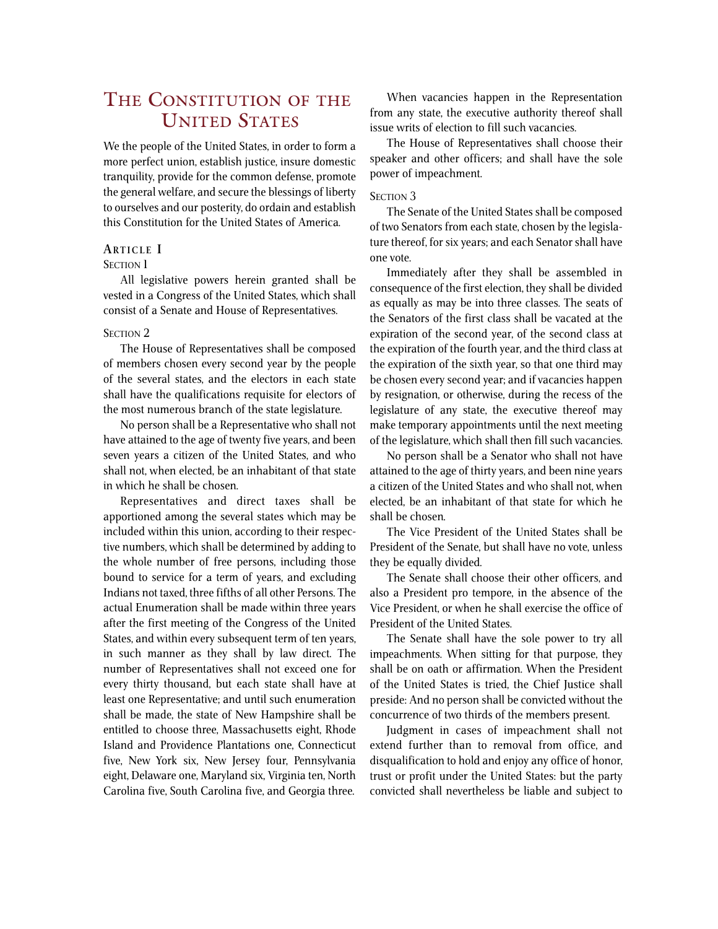# THE CONSTITUTION OF THE UNITED STATES

We the people of the United States, in order to form a more perfect union, establish justice, insure domestic tranquility, provide for the common defense, promote the general welfare, and secure the blessings of liberty to ourselves and our posterity, do ordain and establish this Constitution for the United States of America.

# **ARTICLE I**

# **SECTION 1**

All legislative powers herein granted shall be vested in a Congress of the United States, which shall consist of a Senate and House of Representatives.

#### SECTION<sub>2</sub>

The House of Representatives shall be composed of members chosen every second year by the people of the several states, and the electors in each state shall have the qualifications requisite for electors of the most numerous branch of the state legislature.

No person shall be a Representative who shall not have attained to the age of twenty five years, and been seven years a citizen of the United States, and who shall not, when elected, be an inhabitant of that state in which he shall be chosen.

Representatives and direct taxes shall be apportioned among the several states which may be included within this union, according to their respective numbers, which shall be determined by adding to the whole number of free persons, including those bound to service for a term of years, and excluding Indians not taxed, three fifths of all other Persons. The actual Enumeration shall be made within three years after the first meeting of the Congress of the United States, and within every subsequent term of ten years, in such manner as they shall by law direct. The number of Representatives shall not exceed one for every thirty thousand, but each state shall have at least one Representative; and until such enumeration shall be made, the state of New Hampshire shall be entitled to choose three, Massachusetts eight, Rhode Island and Providence Plantations one, Connecticut five, New York six, New Jersey four, Pennsylvania eight, Delaware one, Maryland six, Virginia ten, North Carolina five, South Carolina five, and Georgia three.

When vacancies happen in the Representation from any state, the executive authority thereof shall issue writs of election to fill such vacancies.

The House of Representatives shall choose their speaker and other officers; and shall have the sole power of impeachment.

# SECTION 3

The Senate of the United States shall be composed of two Senators from each state, chosen by the legislature thereof, for six years; and each Senator shall have one vote.

Immediately after they shall be assembled in consequence of the first election, they shall be divided as equally as may be into three classes. The seats of the Senators of the first class shall be vacated at the expiration of the second year, of the second class at the expiration of the fourth year, and the third class at the expiration of the sixth year, so that one third may be chosen every second year; and if vacancies happen by resignation, or otherwise, during the recess of the legislature of any state, the executive thereof may make temporary appointments until the next meeting of the legislature, which shall then fill such vacancies.

No person shall be a Senator who shall not have attained to the age of thirty years, and been nine years a citizen of the United States and who shall not, when elected, be an inhabitant of that state for which he shall be chosen.

The Vice President of the United States shall be President of the Senate, but shall have no vote, unless they be equally divided.

The Senate shall choose their other officers, and also a President pro tempore, in the absence of the Vice President, or when he shall exercise the office of President of the United States.

The Senate shall have the sole power to try all impeachments. When sitting for that purpose, they shall be on oath or affirmation. When the President of the United States is tried, the Chief Justice shall preside: And no person shall be convicted without the concurrence of two thirds of the members present.

Judgment in cases of impeachment shall not extend further than to removal from office, and disqualification to hold and enjoy any office of honor, trust or profit under the United States: but the party convicted shall nevertheless be liable and subject to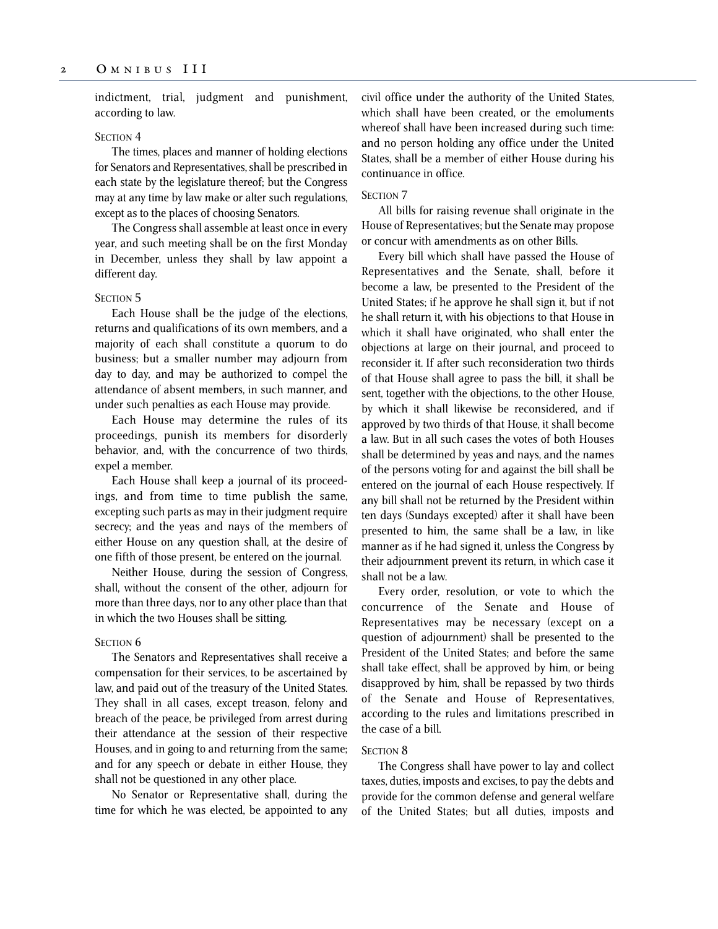indictment, trial, judgment and punishment, according to law.

### SECTION<sub>4</sub>

The times, places and manner of holding elections for Senators and Representatives, shall be prescribed in each state by the legislature thereof; but the Congress may at any time by law make or alter such regulations, except as to the places of choosing Senators.

The Congress shall assemble at least once in every year, and such meeting shall be on the first Monday in December, unless they shall by law appoint a different day.

# SECTION<sub>5</sub>

Each House shall be the judge of the elections, returns and qualifications of its own members, and a majority of each shall constitute a quorum to do business; but a smaller number may adjourn from day to day, and may be authorized to compel the attendance of absent members, in such manner, and under such penalties as each House may provide.

Each House may determine the rules of its proceedings, punish its members for disorderly behavior, and, with the concurrence of two thirds, expel a member.

Each House shall keep a journal of its proceedings, and from time to time publish the same, excepting such parts as may in their judgment require secrecy; and the yeas and nays of the members of either House on any question shall, at the desire of one fifth of those present, be entered on the journal.

Neither House, during the session of Congress, shall, without the consent of the other, adjourn for more than three days, nor to any other place than that in which the two Houses shall be sitting.

#### SECTION<sub>6</sub>

The Senators and Representatives shall receive a compensation for their services, to be ascertained by law, and paid out of the treasury of the United States. They shall in all cases, except treason, felony and breach of the peace, be privileged from arrest during their attendance at the session of their respective Houses, and in going to and returning from the same; and for any speech or debate in either House, they shall not be questioned in any other place.

No Senator or Representative shall, during the time for which he was elected, be appointed to any civil office under the authority of the United States, which shall have been created, or the emoluments whereof shall have been increased during such time: and no person holding any office under the United States, shall be a member of either House during his continuance in office.

# SECTION<sub>7</sub>

All bills for raising revenue shall originate in the House of Representatives; but the Senate may propose or concur with amendments as on other Bills.

Every bill which shall have passed the House of Representatives and the Senate, shall, before it become a law, be presented to the President of the United States; if he approve he shall sign it, but if not he shall return it, with his objections to that House in which it shall have originated, who shall enter the objections at large on their journal, and proceed to reconsider it. If after such reconsideration two thirds of that House shall agree to pass the bill, it shall be sent, together with the objections, to the other House, by which it shall likewise be reconsidered, and if approved by two thirds of that House, it shall become a law. But in all such cases the votes of both Houses shall be determined by yeas and nays, and the names of the persons voting for and against the bill shall be entered on the journal of each House respectively. If any bill shall not be returned by the President within ten days (Sundays excepted) after it shall have been presented to him, the same shall be a law, in like manner as if he had signed it, unless the Congress by their adjournment prevent its return, in which case it shall not be a law.

Every order, resolution, or vote to which the concurrence of the Senate and House of Representatives may be necessary (except on a question of adjournment) shall be presented to the President of the United States; and before the same shall take effect, shall be approved by him, or being disapproved by him, shall be repassed by two thirds of the Senate and House of Representatives, according to the rules and limitations prescribed in the case of a bill.

# SECTION<sub>8</sub>

The Congress shall have power to lay and collect taxes, duties, imposts and excises, to pay the debts and provide for the common defense and general welfare of the United States; but all duties, imposts and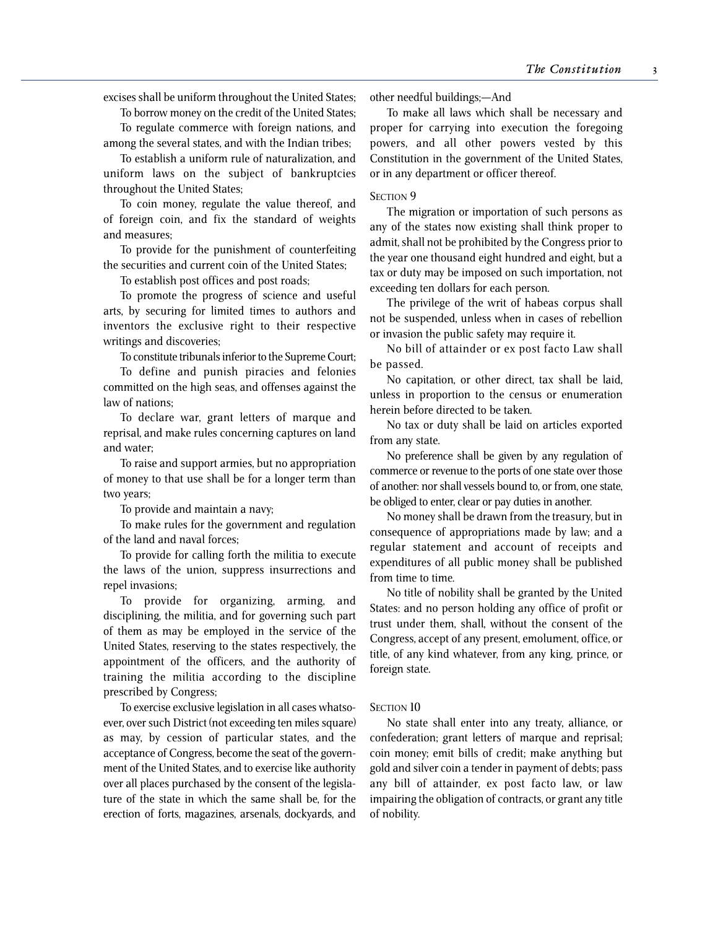excises shall be uniform throughout the United States;

To borrow money on the credit of the United States;

To regulate commerce with foreign nations, and among the several states, and with the Indian tribes;

To establish a uniform rule of naturalization, and uniform laws on the subject of bankruptcies throughout the United States;

To coin money, regulate the value thereof, and of foreign coin, and fix the standard of weights and measures;

To provide for the punishment of counterfeiting the securities and current coin of the United States;

To establish post offices and post roads;

To promote the progress of science and useful arts, by securing for limited times to authors and inventors the exclusive right to their respective writings and discoveries;

To constitute tribunals inferior to the Supreme Court;

To define and punish piracies and felonies committed on the high seas, and offenses against the law of nations;

To declare war, grant letters of marque and reprisal, and make rules concerning captures on land and water;

To raise and support armies, but no appropriation of money to that use shall be for a longer term than two years;

To provide and maintain a navy;

To make rules for the government and regulation of the land and naval forces;

To provide for calling forth the militia to execute the laws of the union, suppress insurrections and repel invasions;

To provide for organizing, arming, and disciplining, the militia, and for governing such part of them as may be employed in the service of the United States, reserving to the states respectively, the appointment of the officers, and the authority of training the militia according to the discipline prescribed by Congress;

To exercise exclusive legislation in all cases whatsoever, over such District (not exceeding ten miles square) as may, by cession of particular states, and the acceptance of Congress, become the seat of the government of the United States, and to exercise like authority over all places purchased by the consent of the legislature of the state in which the same shall be, for the erection of forts, magazines, arsenals, dockyards, and

other needful buildings;—And

To make all laws which shall be necessary and proper for carrying into execution the foregoing powers, and all other powers vested by this Constitution in the government of the United States, or in any department or officer thereof.

### SECTION<sub>9</sub>

The migration or importation of such persons as any of the states now existing shall think proper to admit, shall not be prohibited by the Congress prior to the year one thousand eight hundred and eight, but a tax or duty may be imposed on such importation, not exceeding ten dollars for each person.

The privilege of the writ of habeas corpus shall not be suspended, unless when in cases of rebellion or invasion the public safety may require it.

No bill of attainder or ex post facto Law shall be passed.

No capitation, or other direct, tax shall be laid, unless in proportion to the census or enumeration herein before directed to be taken.

No tax or duty shall be laid on articles exported from any state.

No preference shall be given by any regulation of commerce or revenue to the ports of one state over those of another: nor shall vessels bound to, or from, one state, be obliged to enter, clear or pay duties in another.

No money shall be drawn from the treasury, but in consequence of appropriations made by law; and a regular statement and account of receipts and expenditures of all public money shall be published from time to time.

No title of nobility shall be granted by the United States: and no person holding any office of profit or trust under them, shall, without the consent of the Congress, accept of any present, emolument, office, or title, of any kind whatever, from any king, prince, or foreign state.

#### SECTION 10

No state shall enter into any treaty, alliance, or confederation; grant letters of marque and reprisal; coin money; emit bills of credit; make anything but gold and silver coin a tender in payment of debts; pass any bill of attainder, ex post facto law, or law impairing the obligation of contracts, or grant any title of nobility.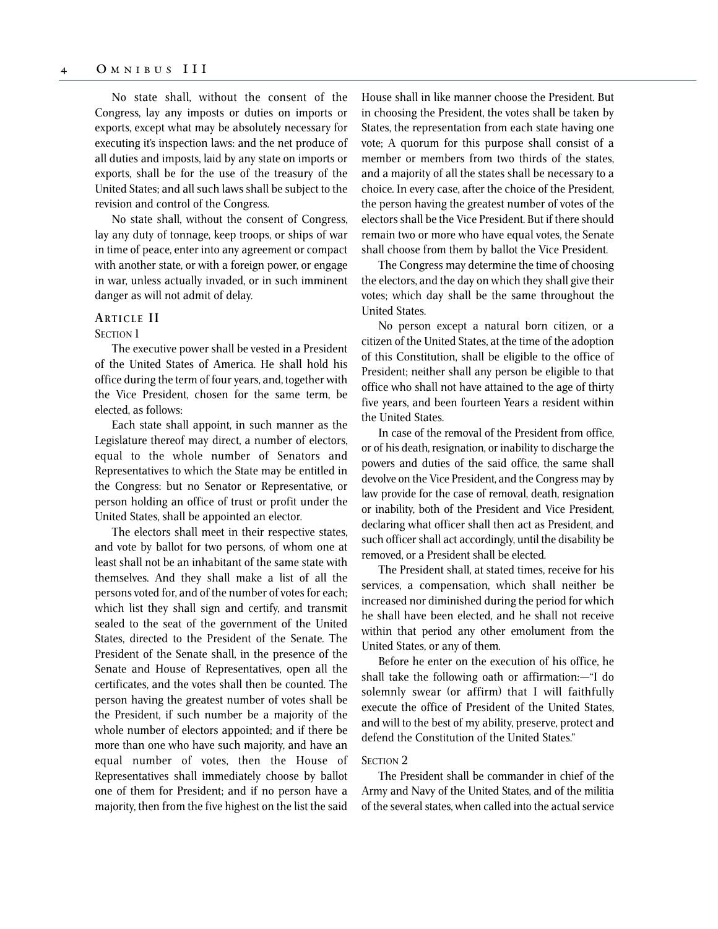No state shall, without the consent of the Congress, lay any imposts or duties on imports or exports, except what may be absolutely necessary for executing it's inspection laws: and the net produce of all duties and imposts, laid by any state on imports or exports, shall be for the use of the treasury of the United States; and all such laws shall be subject to the revision and control of the Congress.

No state shall, without the consent of Congress, lay any duty of tonnage, keep troops, or ships of war in time of peace, enter into any agreement or compact with another state, or with a foreign power, or engage in war, unless actually invaded, or in such imminent danger as will not admit of delay.

# **ARTICLE I I**

#### SECTION 1

The executive power shall be vested in a President of the United States of America. He shall hold his office during the term of four years, and, together with the Vice President, chosen for the same term, be elected, as follows:

Each state shall appoint, in such manner as the Legislature thereof may direct, a number of electors, equal to the whole number of Senators and Representatives to which the State may be entitled in the Congress: but no Senator or Representative, or person holding an office of trust or profit under the United States, shall be appointed an elector.

The electors shall meet in their respective states, and vote by ballot for two persons, of whom one at least shall not be an inhabitant of the same state with themselves. And they shall make a list of all the persons voted for, and of the number of votes for each; which list they shall sign and certify, and transmit sealed to the seat of the government of the United States, directed to the President of the Senate. The President of the Senate shall, in the presence of the Senate and House of Representatives, open all the certificates, and the votes shall then be counted. The person having the greatest number of votes shall be the President, if such number be a majority of the whole number of electors appointed; and if there be more than one who have such majority, and have an equal number of votes, then the House of Representatives shall immediately choose by ballot one of them for President; and if no person have a majority, then from the five highest on the list the said House shall in like manner choose the President. But in choosing the President, the votes shall be taken by States, the representation from each state having one vote; A quorum for this purpose shall consist of a member or members from two thirds of the states, and a majority of all the states shall be necessary to a choice. In every case, after the choice of the President, the person having the greatest number of votes of the electors shall be the Vice President. But if there should remain two or more who have equal votes, the Senate shall choose from them by ballot the Vice President.

The Congress may determine the time of choosing the electors, and the day on which they shall give their votes; which day shall be the same throughout the United States.

No person except a natural born citizen, or a citizen of the United States, at the time of the adoption of this Constitution, shall be eligible to the office of President; neither shall any person be eligible to that office who shall not have attained to the age of thirty five years, and been fourteen Years a resident within the United States.

In case of the removal of the President from office, or of his death, resignation, or inability to discharge the powers and duties of the said office, the same shall devolve on the Vice President, and the Congress may by law provide for the case of removal, death, resignation or inability, both of the President and Vice President, declaring what officer shall then act as President, and such officer shall act accordingly, until the disability be removed, or a President shall be elected.

The President shall, at stated times, receive for his services, a compensation, which shall neither be increased nor diminished during the period for which he shall have been elected, and he shall not receive within that period any other emolument from the United States, or any of them.

Before he enter on the execution of his office, he shall take the following oath or affirmation:—"I do solemnly swear (or affirm) that I will faithfully execute the office of President of the United States, and will to the best of my ability, preserve, protect and defend the Constitution of the United States."

# SECTION 2

The President shall be commander in chief of the Army and Navy of the United States, and of the militia of the several states, when called into the actual service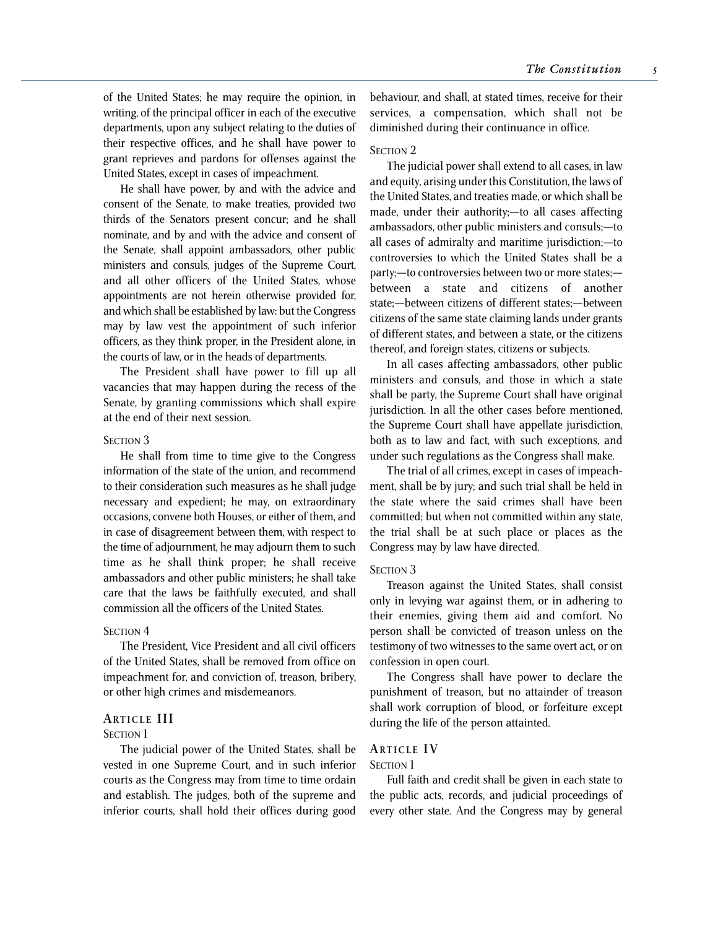of the United States; he may require the opinion, in writing, of the principal officer in each of the executive departments, upon any subject relating to the duties of their respective offices, and he shall have power to grant reprieves and pardons for offenses against the United States, except in cases of impeachment.

He shall have power, by and with the advice and consent of the Senate, to make treaties, provided two thirds of the Senators present concur; and he shall nominate, and by and with the advice and consent of the Senate, shall appoint ambassadors, other public ministers and consuls, judges of the Supreme Court, and all other officers of the United States, whose appointments are not herein otherwise provided for, and which shall be established by law: but the Congress may by law vest the appointment of such inferior officers, as they think proper, in the President alone, in the courts of law, or in the heads of departments.

The President shall have power to fill up all vacancies that may happen during the recess of the Senate, by granting commissions which shall expire at the end of their next session.

# SECTION<sub>3</sub>

He shall from time to time give to the Congress information of the state of the union, and recommend to their consideration such measures as he shall judge necessary and expedient; he may, on extraordinary occasions, convene both Houses, or either of them, and in case of disagreement between them, with respect to the time of adjournment, he may adjourn them to such time as he shall think proper; he shall receive ambassadors and other public ministers; he shall take care that the laws be faithfully executed, and shall commission all the officers of the United States.

#### SECTION<sub>4</sub>

The President, Vice President and all civil officers of the United States, shall be removed from office on impeachment for, and conviction of, treason, bribery, or other high crimes and misdemeanors.

# **ARTICLE III**

# SECTION<sub>1</sub>

The judicial power of the United States, shall be vested in one Supreme Court, and in such inferior courts as the Congress may from time to time ordain and establish. The judges, both of the supreme and inferior courts, shall hold their offices during good behaviour, and shall, at stated times, receive for their services, a compensation, which shall not be diminished during their continuance in office.

#### SECTION 2

The judicial power shall extend to all cases, in law and equity, arising under this Constitution, the laws of the United States, and treaties made, or which shall be made, under their authority;—to all cases affecting ambassadors, other public ministers and consuls;—to all cases of admiralty and maritime jurisdiction;—to controversies to which the United States shall be a party;—to controversies between two or more states; between a state and citizens of another state;—between citizens of different states;—between citizens of the same state claiming lands under grants of different states, and between a state, or the citizens thereof, and foreign states, citizens or subjects.

In all cases affecting ambassadors, other public ministers and consuls, and those in which a state shall be party, the Supreme Court shall have original jurisdiction. In all the other cases before mentioned, the Supreme Court shall have appellate jurisdiction, both as to law and fact, with such exceptions, and under such regulations as the Congress shall make.

The trial of all crimes, except in cases of impeachment, shall be by jury; and such trial shall be held in the state where the said crimes shall have been committed; but when not committed within any state, the trial shall be at such place or places as the Congress may by law have directed.

#### SECTION<sub>3</sub>

Treason against the United States, shall consist only in levying war against them, or in adhering to their enemies, giving them aid and comfort. No person shall be convicted of treason unless on the testimony of two witnesses to the same overt act, or on confession in open court.

The Congress shall have power to declare the punishment of treason, but no attainder of treason shall work corruption of blood, or forfeiture except during the life of the person attainted.

# **ARTICLE I V**

# **SECTION** 1

Full faith and credit shall be given in each state to the public acts, records, and judicial proceedings of every other state. And the Congress may by general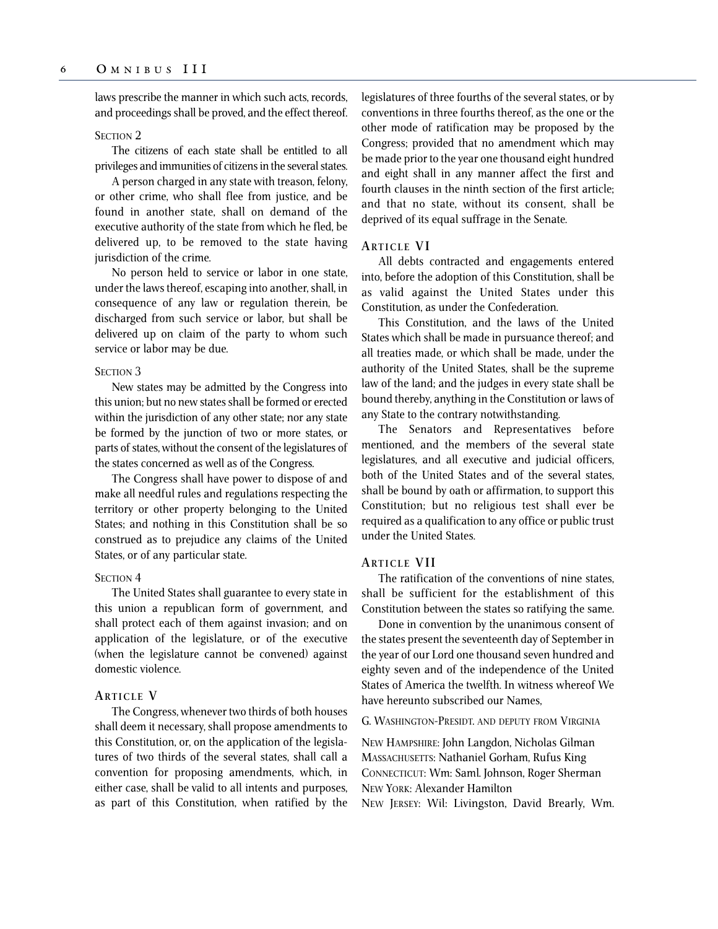laws prescribe the manner in which such acts, records, and proceedings shall be proved, and the effect thereof.

# SECTION<sub>2</sub>

The citizens of each state shall be entitled to all privileges and immunities of citizens in the several states.

A person charged in any state with treason, felony, or other crime, who shall flee from justice, and be found in another state, shall on demand of the executive authority of the state from which he fled, be delivered up, to be removed to the state having jurisdiction of the crime.

No person held to service or labor in one state, under the laws thereof, escaping into another, shall, in consequence of any law or regulation therein, be discharged from such service or labor, but shall be delivered up on claim of the party to whom such service or labor may be due.

#### SECTION<sub>3</sub>

New states may be admitted by the Congress into this union; but no new states shall be formed or erected within the jurisdiction of any other state; nor any state be formed by the junction of two or more states, or parts of states, without the consent of the legislatures of the states concerned as well as of the Congress.

The Congress shall have power to dispose of and make all needful rules and regulations respecting the territory or other property belonging to the United States; and nothing in this Constitution shall be so construed as to prejudice any claims of the United States, or of any particular state.

# SECTION<sub>4</sub>

The United States shall guarantee to every state in this union a republican form of government, and shall protect each of them against invasion; and on application of the legislature, or of the executive (when the legislature cannot be convened) against domestic violence.

# **ARTICLE V**

The Congress, whenever two thirds of both houses shall deem it necessary, shall propose amendments to this Constitution, or, on the application of the legislatures of two thirds of the several states, shall call a convention for proposing amendments, which, in either case, shall be valid to all intents and purposes, as part of this Constitution, when ratified by the legislatures of three fourths of the several states, or by conventions in three fourths thereof, as the one or the other mode of ratification may be proposed by the Congress; provided that no amendment which may be made prior to the year one thousand eight hundred and eight shall in any manner affect the first and fourth clauses in the ninth section of the first article; and that no state, without its consent, shall be deprived of its equal suffrage in the Senate.

# **ARTICLE V I**

All debts contracted and engagements entered into, before the adoption of this Constitution, shall be as valid against the United States under this Constitution, as under the Confederation.

This Constitution, and the laws of the United States which shall be made in pursuance thereof; and all treaties made, or which shall be made, under the authority of the United States, shall be the supreme law of the land; and the judges in every state shall be bound thereby, anything in the Constitution or laws of any State to the contrary notwithstanding.

The Senators and Representatives before mentioned, and the members of the several state legislatures, and all executive and judicial officers, both of the United States and of the several states, shall be bound by oath or affirmation, to support this Constitution; but no religious test shall ever be required as a qualification to any office or public trust under the United States.

# **ARTICLE VII**

The ratification of the conventions of nine states, shall be sufficient for the establishment of this Constitution between the states so ratifying the same.

Done in convention by the unanimous consent of the states present the seventeenth day of September in the year of our Lord one thousand seven hundred and eighty seven and of the independence of the United States of America the twelfth. In witness whereof We have hereunto subscribed our Names,

G. WASHINGTON-PRESIDT. AND DEPUTY FROM VIRGINIA

NEW HAMPSHIRE: John Langdon, Nicholas Gilman MASSACHUSETTS: Nathaniel Gorham, Rufus King CONNECTICUT: Wm: Saml. Johnson, Roger Sherman NEW YORK: Alexander Hamilton

NEW JERSEY: Wil: Livingston, David Brearly, Wm.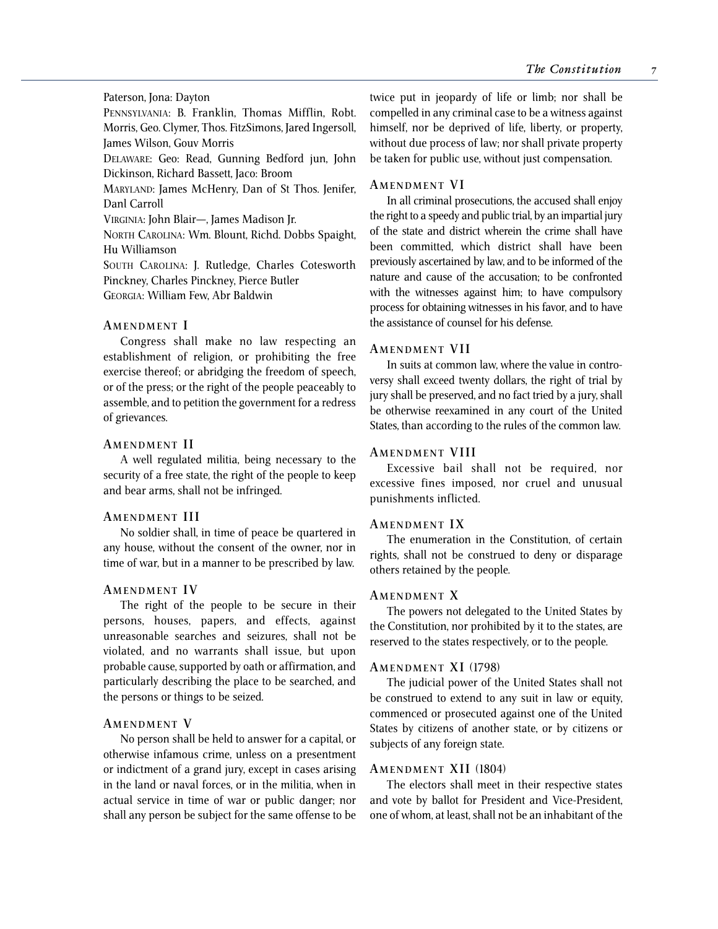Paterson, Jona: Dayton

PENNSYLVANIA: B. Franklin, Thomas Mifflin, Robt. Morris, Geo. Clymer, Thos. FitzSimons, Jared Ingersoll, James Wilson, Gouv Morris

DELAWARE: Geo: Read, Gunning Bedford jun, John Dickinson, Richard Bassett, Jaco: Broom

MARYLAND: James McHenry, Dan of St Thos. Jenifer, Danl Carroll

VIRGINIA: John Blair—, James Madison Jr.

NORTH CAROLINA: Wm. Blount, Richd. Dobbs Spaight, Hu Williamson

SOUTH CAROLINA: J. Rutledge, Charles Cotesworth Pinckney, Charles Pinckney, Pierce Butler

GEORGIA: William Few, Abr Baldwin

# **AMENDMENT I**

Congress shall make no law respecting an establishment of religion, or prohibiting the free exercise thereof; or abridging the freedom of speech, or of the press; or the right of the people peaceably to assemble, and to petition the government for a redress of grievances.

### **AMENDMENT I I**

A well regulated militia, being necessary to the security of a free state, the right of the people to keep and bear arms, shall not be infringed.

# **AMENDMENT III**

No soldier shall, in time of peace be quartered in any house, without the consent of the owner, nor in time of war, but in a manner to be prescribed by law.

# **AMENDMENT I V**

The right of the people to be secure in their persons, houses, papers, and effects, against unreasonable searches and seizures, shall not be violated, and no warrants shall issue, but upon probable cause, supported by oath or affirmation, and particularly describing the place to be searched, and the persons or things to be seized.

# **AMENDMENT V**

No person shall be held to answer for a capital, or otherwise infamous crime, unless on a presentment or indictment of a grand jury, except in cases arising in the land or naval forces, or in the militia, when in actual service in time of war or public danger; nor shall any person be subject for the same offense to be

twice put in jeopardy of life or limb; nor shall be compelled in any criminal case to be a witness against himself, nor be deprived of life, liberty, or property, without due process of law; nor shall private property be taken for public use, without just compensation.

### **AMENDMENT V I**

In all criminal prosecutions, the accused shall enjoy the right to a speedy and public trial, by an impartial jury of the state and district wherein the crime shall have been committed, which district shall have been previously ascertained by law, and to be informed of the nature and cause of the accusation; to be confronted with the witnesses against him; to have compulsory process for obtaining witnesses in his favor, and to have the assistance of counsel for his defense.

# **AMENDMENT VII**

In suits at common law, where the value in controversy shall exceed twenty dollars, the right of trial by jury shall be preserved, and no fact tried by a jury, shall be otherwise reexamined in any court of the United States, than according to the rules of the common law.

# **AMENDMENT VIII**

Excessive bail shall not be required, nor excessive fines imposed, nor cruel and unusual punishments inflicted.

### **AMENDMENT I X**

The enumeration in the Constitution, of certain rights, shall not be construed to deny or disparage others retained by the people.

#### **AMENDMENT X**

The powers not delegated to the United States by the Constitution, nor prohibited by it to the states, are reserved to the states respectively, or to the people.

# **AMENDMENT XI** (1798)

The judicial power of the United States shall not be construed to extend to any suit in law or equity, commenced or prosecuted against one of the United States by citizens of another state, or by citizens or subjects of any foreign state.

# **AMENDMENT XII** (1804)

The electors shall meet in their respective states and vote by ballot for President and Vice-President, one of whom, at least, shall not be an inhabitant of the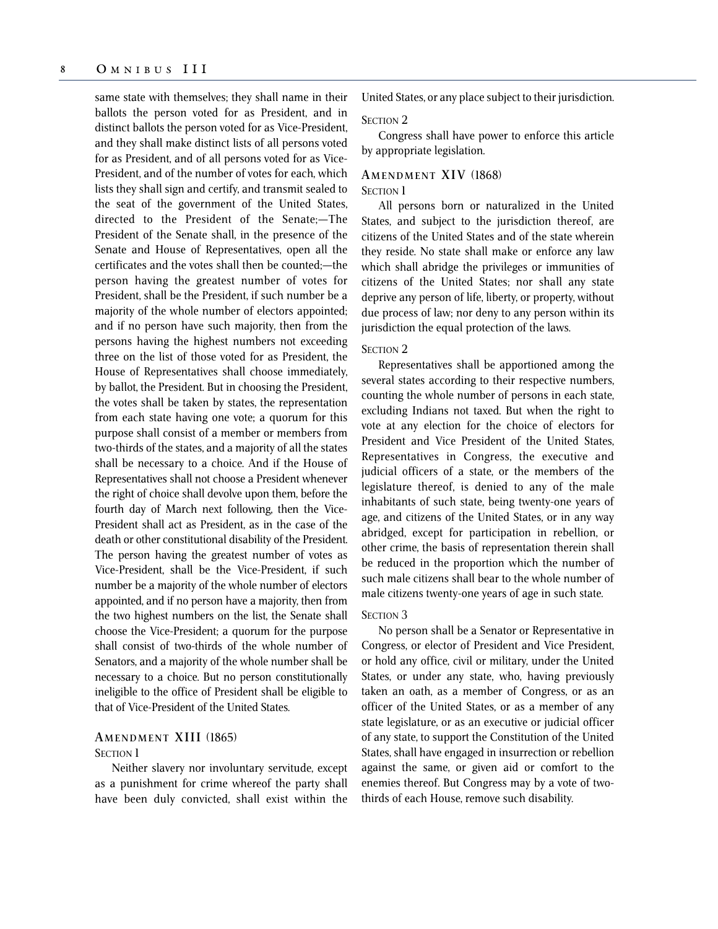same state with themselves; they shall name in their ballots the person voted for as President, and in distinct ballots the person voted for as Vice-President, and they shall make distinct lists of all persons voted for as President, and of all persons voted for as Vice-President, and of the number of votes for each, which lists they shall sign and certify, and transmit sealed to the seat of the government of the United States, directed to the President of the Senate;—The President of the Senate shall, in the presence of the Senate and House of Representatives, open all the certificates and the votes shall then be counted;—the person having the greatest number of votes for President, shall be the President, if such number be a majority of the whole number of electors appointed; and if no person have such majority, then from the persons having the highest numbers not exceeding three on the list of those voted for as President, the House of Representatives shall choose immediately, by ballot, the President. But in choosing the President, the votes shall be taken by states, the representation from each state having one vote; a quorum for this purpose shall consist of a member or members from two-thirds of the states, and a majority of all the states shall be necessary to a choice. And if the House of Representatives shall not choose a President whenever the right of choice shall devolve upon them, before the fourth day of March next following, then the Vice-President shall act as President, as in the case of the death or other constitutional disability of the President. The person having the greatest number of votes as Vice-President, shall be the Vice-President, if such number be a majority of the whole number of electors appointed, and if no person have a majority, then from the two highest numbers on the list, the Senate shall choose the Vice-President; a quorum for the purpose shall consist of two-thirds of the whole number of Senators, and a majority of the whole number shall be necessary to a choice. But no person constitutionally ineligible to the office of President shall be eligible to that of Vice-President of the United States.

# **AMENDMENT XIII** (1865)

# **SECTION 1**

Neither slavery nor involuntary servitude, except as a punishment for crime whereof the party shall have been duly convicted, shall exist within the United States, or any place subject to their jurisdiction.

#### SECTION<sub>2</sub>

Congress shall have power to enforce this article by appropriate legislation.

# **AMENDMENT XIV** (1868) SECTION 1

All persons born or naturalized in the United States, and subject to the jurisdiction thereof, are citizens of the United States and of the state wherein they reside. No state shall make or enforce any law which shall abridge the privileges or immunities of citizens of the United States; nor shall any state deprive any person of life, liberty, or property, without due process of law; nor deny to any person within its jurisdiction the equal protection of the laws.

# SECTION 2

Representatives shall be apportioned among the several states according to their respective numbers, counting the whole number of persons in each state, excluding Indians not taxed. But when the right to vote at any election for the choice of electors for President and Vice President of the United States, Representatives in Congress, the executive and judicial officers of a state, or the members of the legislature thereof, is denied to any of the male inhabitants of such state, being twenty-one years of age, and citizens of the United States, or in any way abridged, except for participation in rebellion, or other crime, the basis of representation therein shall be reduced in the proportion which the number of such male citizens shall bear to the whole number of male citizens twenty-one years of age in such state.

# SECTION 3

No person shall be a Senator or Representative in Congress, or elector of President and Vice President, or hold any office, civil or military, under the United States, or under any state, who, having previously taken an oath, as a member of Congress, or as an officer of the United States, or as a member of any state legislature, or as an executive or judicial officer of any state, to support the Constitution of the United States, shall have engaged in insurrection or rebellion against the same, or given aid or comfort to the enemies thereof. But Congress may by a vote of twothirds of each House, remove such disability.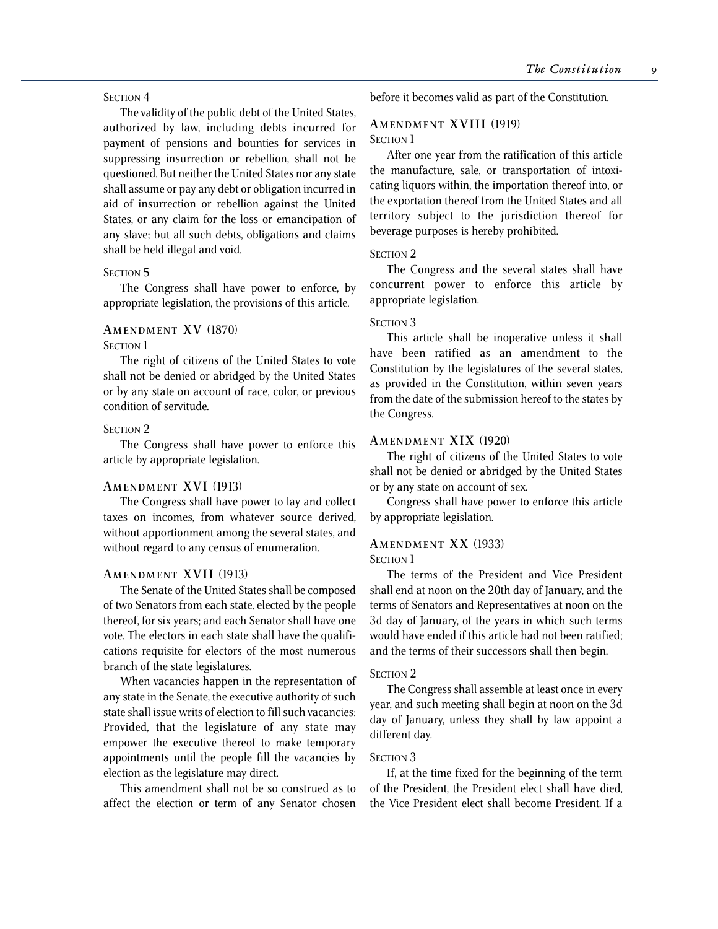# SECTION<sub>4</sub>

The validity of the public debt of the United States, authorized by law, including debts incurred for payment of pensions and bounties for services in suppressing insurrection or rebellion, shall not be questioned. But neither the United States nor any state shall assume or pay any debt or obligation incurred in aid of insurrection or rebellion against the United States, or any claim for the loss or emancipation of any slave; but all such debts, obligations and claims shall be held illegal and void.

### SECTION<sub>5</sub>

The Congress shall have power to enforce, by appropriate legislation, the provisions of this article.

# **AMENDMENT XV** (1870)

# **SECTION 1**

The right of citizens of the United States to vote shall not be denied or abridged by the United States or by any state on account of race, color, or previous condition of servitude.

# SECTION<sub>2</sub>

The Congress shall have power to enforce this article by appropriate legislation.

# **AMENDMENT XVI** (1913)

The Congress shall have power to lay and collect taxes on incomes, from whatever source derived, without apportionment among the several states, and without regard to any census of enumeration.

### **AMENDMENT XVII** (1913)

The Senate of the United States shall be composed of two Senators from each state, elected by the people thereof, for six years; and each Senator shall have one vote. The electors in each state shall have the qualifications requisite for electors of the most numerous branch of the state legislatures.

When vacancies happen in the representation of any state in the Senate, the executive authority of such state shall issue writs of election to fill such vacancies: Provided, that the legislature of any state may empower the executive thereof to make temporary appointments until the people fill the vacancies by election as the legislature may direct.

This amendment shall not be so construed as to affect the election or term of any Senator chosen before it becomes valid as part of the Constitution.

# **AMENDMENT XVIII** (1919) **SECTION 1**

After one year from the ratification of this article the manufacture, sale, or transportation of intoxicating liquors within, the importation thereof into, or the exportation thereof from the United States and all territory subject to the jurisdiction thereof for beverage purposes is hereby prohibited.

### SECTION<sub>2</sub>

The Congress and the several states shall have concurrent power to enforce this article by appropriate legislation.

# SECTION<sub>3</sub>

This article shall be inoperative unless it shall have been ratified as an amendment to the Constitution by the legislatures of the several states, as provided in the Constitution, within seven years from the date of the submission hereof to the states by the Congress.

# **AMENDMENT XIX** (1920)

The right of citizens of the United States to vote shall not be denied or abridged by the United States or by any state on account of sex.

Congress shall have power to enforce this article by appropriate legislation.

# **AMENDMENT XX** (1933)

### SECTION 1

The terms of the President and Vice President shall end at noon on the 20th day of January, and the terms of Senators and Representatives at noon on the 3d day of January, of the years in which such terms would have ended if this article had not been ratified; and the terms of their successors shall then begin.

# SECTION<sub>2</sub>

The Congress shall assemble at least once in every year, and such meeting shall begin at noon on the 3d day of January, unless they shall by law appoint a different day.

#### SECTION 3

If, at the time fixed for the beginning of the term of the President, the President elect shall have died, the Vice President elect shall become President. If a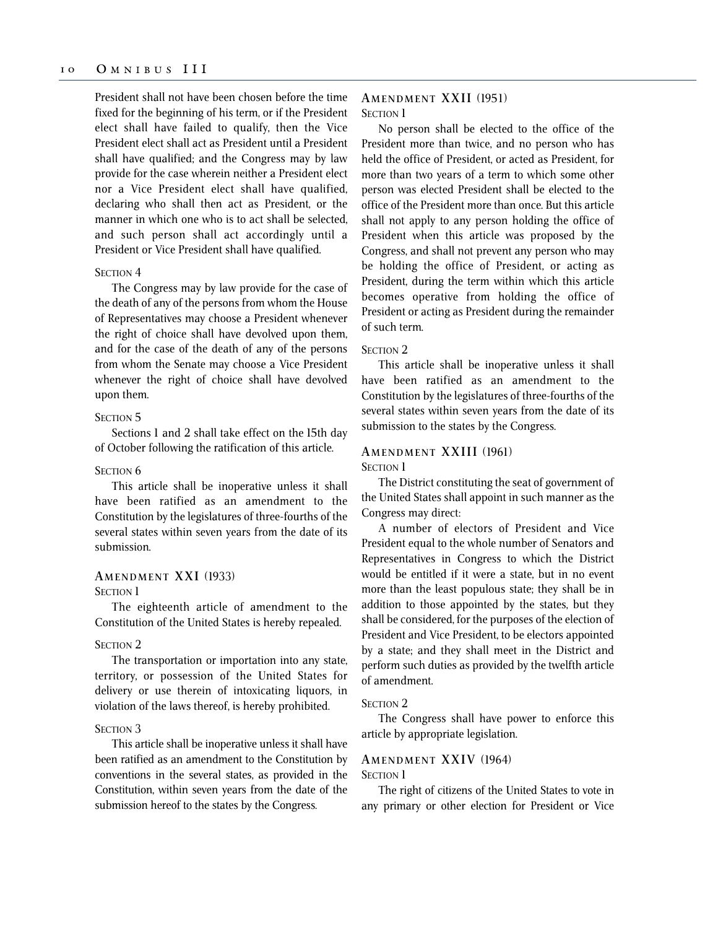President shall not have been chosen before the time fixed for the beginning of his term, or if the President elect shall have failed to qualify, then the Vice President elect shall act as President until a President shall have qualified; and the Congress may by law provide for the case wherein neither a President elect nor a Vice President elect shall have qualified, declaring who shall then act as President, or the manner in which one who is to act shall be selected, and such person shall act accordingly until a President or Vice President shall have qualified.

#### SECTION<sub>4</sub>

The Congress may by law provide for the case of the death of any of the persons from whom the House of Representatives may choose a President whenever the right of choice shall have devolved upon them, and for the case of the death of any of the persons from whom the Senate may choose a Vice President whenever the right of choice shall have devolved upon them.

#### SECTION<sub>5</sub>

Sections 1 and 2 shall take effect on the 15th day of October following the ratification of this article.

# SECTION<sub>6</sub>

This article shall be inoperative unless it shall have been ratified as an amendment to the Constitution by the legislatures of three-fourths of the several states within seven years from the date of its submission.

# **AMENDMENT XXI** (1933)

SECTION 1

The eighteenth article of amendment to the Constitution of the United States is hereby repealed.

# SECTION 2

The transportation or importation into any state, territory, or possession of the United States for delivery or use therein of intoxicating liquors, in violation of the laws thereof, is hereby prohibited.

# SECTION<sub>3</sub>

This article shall be inoperative unless it shall have been ratified as an amendment to the Constitution by conventions in the several states, as provided in the Constitution, within seven years from the date of the submission hereof to the states by the Congress.

# **AMENDMENT XXII** (1951) SECTION 1

No person shall be elected to the office of the President more than twice, and no person who has held the office of President, or acted as President, for more than two years of a term to which some other person was elected President shall be elected to the office of the President more than once. But this article shall not apply to any person holding the office of President when this article was proposed by the Congress, and shall not prevent any person who may be holding the office of President, or acting as President, during the term within which this article becomes operative from holding the office of President or acting as President during the remainder of such term.

# SECTION<sub>2</sub>

This article shall be inoperative unless it shall have been ratified as an amendment to the Constitution by the legislatures of three-fourths of the several states within seven years from the date of its submission to the states by the Congress.

# **AMENDMENT XXIII** (1961)

SECTION 1

The District constituting the seat of government of the United States shall appoint in such manner as the Congress may direct:

A number of electors of President and Vice President equal to the whole number of Senators and Representatives in Congress to which the District would be entitled if it were a state, but in no event more than the least populous state; they shall be in addition to those appointed by the states, but they shall be considered, for the purposes of the election of President and Vice President, to be electors appointed by a state; and they shall meet in the District and perform such duties as provided by the twelfth article of amendment.

#### SECTION 2

The Congress shall have power to enforce this article by appropriate legislation.

# **AMENDMENT XXIV** (1964)

SECTION 1

The right of citizens of the United States to vote in any primary or other election for President or Vice